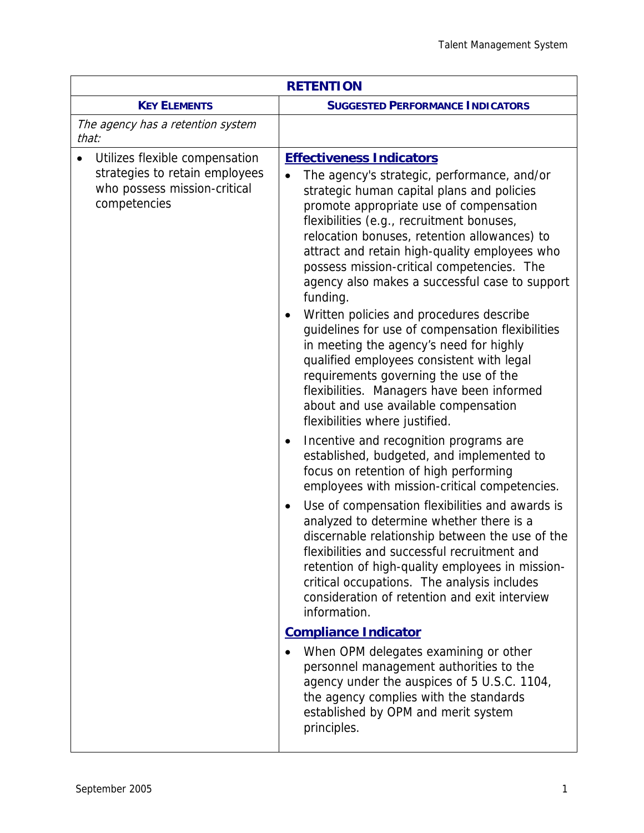| <b>RETENTION</b>                                                                                                              |                                                                                                                                                                                                                                                                                                                                                                                                                                                                                                                                                                                                                                                                                                                                                                                            |  |
|-------------------------------------------------------------------------------------------------------------------------------|--------------------------------------------------------------------------------------------------------------------------------------------------------------------------------------------------------------------------------------------------------------------------------------------------------------------------------------------------------------------------------------------------------------------------------------------------------------------------------------------------------------------------------------------------------------------------------------------------------------------------------------------------------------------------------------------------------------------------------------------------------------------------------------------|--|
| <b>KEY ELEMENTS</b>                                                                                                           | <b>SUGGESTED PERFORMANCE INDICATORS</b>                                                                                                                                                                                                                                                                                                                                                                                                                                                                                                                                                                                                                                                                                                                                                    |  |
| The agency has a retention system<br>that:                                                                                    |                                                                                                                                                                                                                                                                                                                                                                                                                                                                                                                                                                                                                                                                                                                                                                                            |  |
| Utilizes flexible compensation<br>$\bullet$<br>strategies to retain employees<br>who possess mission-critical<br>competencies | <b>Effectiveness Indicators</b><br>The agency's strategic, performance, and/or<br>strategic human capital plans and policies<br>promote appropriate use of compensation<br>flexibilities (e.g., recruitment bonuses,<br>relocation bonuses, retention allowances) to<br>attract and retain high-quality employees who<br>possess mission-critical competencies. The<br>agency also makes a successful case to support<br>funding.<br>Written policies and procedures describe<br>guidelines for use of compensation flexibilities<br>in meeting the agency's need for highly<br>qualified employees consistent with legal<br>requirements governing the use of the<br>flexibilities. Managers have been informed<br>about and use available compensation<br>flexibilities where justified. |  |
|                                                                                                                               | Incentive and recognition programs are<br>$\bullet$<br>established, budgeted, and implemented to<br>focus on retention of high performing<br>employees with mission-critical competencies.                                                                                                                                                                                                                                                                                                                                                                                                                                                                                                                                                                                                 |  |
|                                                                                                                               | Use of compensation flexibilities and awards is<br>$\bullet$<br>analyzed to determine whether there is a<br>discernable relationship between the use of the<br>flexibilities and successful recruitment and<br>retention of high-quality employees in mission-<br>critical occupations. The analysis includes<br>consideration of retention and exit interview<br>information.                                                                                                                                                                                                                                                                                                                                                                                                             |  |
|                                                                                                                               | <b>Compliance Indicator</b>                                                                                                                                                                                                                                                                                                                                                                                                                                                                                                                                                                                                                                                                                                                                                                |  |
|                                                                                                                               | When OPM delegates examining or other<br>personnel management authorities to the<br>agency under the auspices of 5 U.S.C. 1104,<br>the agency complies with the standards<br>established by OPM and merit system<br>principles.                                                                                                                                                                                                                                                                                                                                                                                                                                                                                                                                                            |  |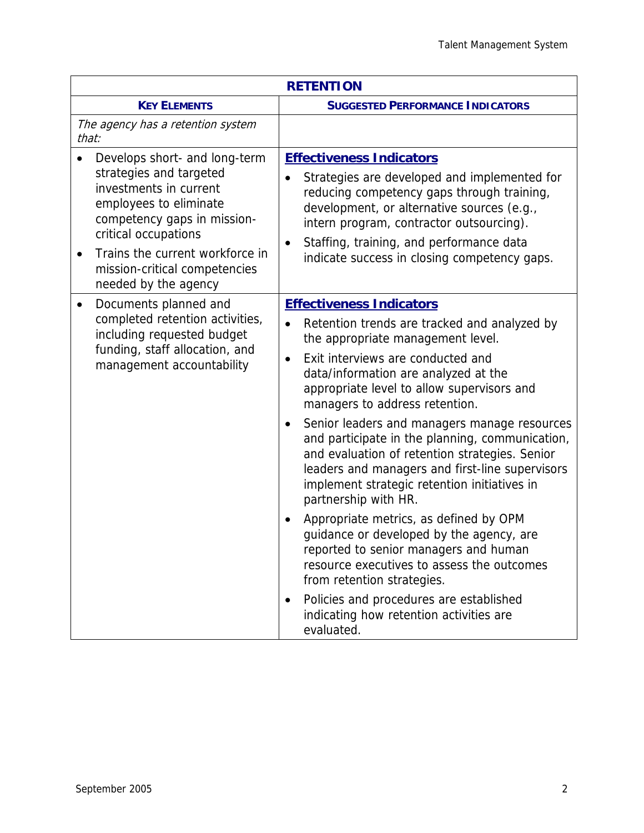| <b>RETENTION</b>                                                                                                                                                                                                                                                             |                                                                                                                                                                                                                                                                                                                                                                                                                                                                                                                                                                                                                                                                                                                                                                                                                                                                                                                                      |  |
|------------------------------------------------------------------------------------------------------------------------------------------------------------------------------------------------------------------------------------------------------------------------------|--------------------------------------------------------------------------------------------------------------------------------------------------------------------------------------------------------------------------------------------------------------------------------------------------------------------------------------------------------------------------------------------------------------------------------------------------------------------------------------------------------------------------------------------------------------------------------------------------------------------------------------------------------------------------------------------------------------------------------------------------------------------------------------------------------------------------------------------------------------------------------------------------------------------------------------|--|
| <b>KEY ELEMENTS</b>                                                                                                                                                                                                                                                          | <b>SUGGESTED PERFORMANCE INDICATORS</b>                                                                                                                                                                                                                                                                                                                                                                                                                                                                                                                                                                                                                                                                                                                                                                                                                                                                                              |  |
| The agency has a retention system<br>that:                                                                                                                                                                                                                                   |                                                                                                                                                                                                                                                                                                                                                                                                                                                                                                                                                                                                                                                                                                                                                                                                                                                                                                                                      |  |
| Develops short- and long-term<br>strategies and targeted<br>investments in current<br>employees to eliminate<br>competency gaps in mission-<br>critical occupations<br>Trains the current workforce in<br>$\bullet$<br>mission-critical competencies<br>needed by the agency | <b>Effectiveness Indicators</b><br>Strategies are developed and implemented for<br>reducing competency gaps through training,<br>development, or alternative sources (e.g.,<br>intern program, contractor outsourcing).<br>Staffing, training, and performance data<br>$\bullet$<br>indicate success in closing competency gaps.                                                                                                                                                                                                                                                                                                                                                                                                                                                                                                                                                                                                     |  |
| Documents planned and<br>$\bullet$<br>completed retention activities,<br>including requested budget<br>funding, staff allocation, and<br>management accountability                                                                                                           | <b>Effectiveness Indicators</b><br>Retention trends are tracked and analyzed by<br>the appropriate management level.<br>Exit interviews are conducted and<br>$\bullet$<br>data/information are analyzed at the<br>appropriate level to allow supervisors and<br>managers to address retention.<br>Senior leaders and managers manage resources<br>$\bullet$<br>and participate in the planning, communication,<br>and evaluation of retention strategies. Senior<br>leaders and managers and first-line supervisors<br>implement strategic retention initiatives in<br>partnership with HR.<br>Appropriate metrics, as defined by OPM<br>$\bullet$<br>guidance or developed by the agency, are<br>reported to senior managers and human<br>resource executives to assess the outcomes<br>from retention strategies.<br>Policies and procedures are established<br>$\bullet$<br>indicating how retention activities are<br>evaluated. |  |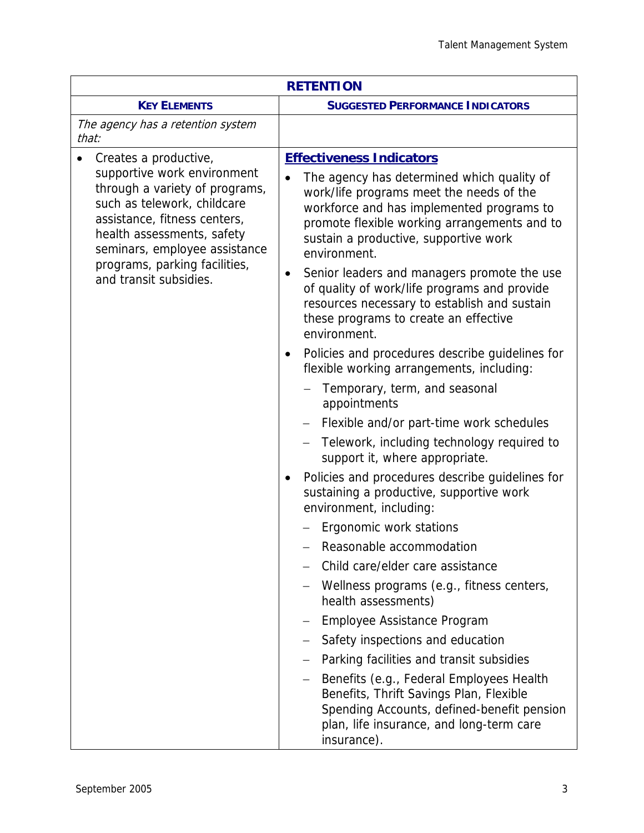| <b>RETENTION</b>                                                                                                                                                                                                                                                                |                                                                                                                                                                                                                                                                                                                                                                                                                                                                                                                                                                                                                                                                                                                                                                                                                                                                                                                                                                                                                                                                                                                                                                                                                                                                                                                                                                                                        |  |  |
|---------------------------------------------------------------------------------------------------------------------------------------------------------------------------------------------------------------------------------------------------------------------------------|--------------------------------------------------------------------------------------------------------------------------------------------------------------------------------------------------------------------------------------------------------------------------------------------------------------------------------------------------------------------------------------------------------------------------------------------------------------------------------------------------------------------------------------------------------------------------------------------------------------------------------------------------------------------------------------------------------------------------------------------------------------------------------------------------------------------------------------------------------------------------------------------------------------------------------------------------------------------------------------------------------------------------------------------------------------------------------------------------------------------------------------------------------------------------------------------------------------------------------------------------------------------------------------------------------------------------------------------------------------------------------------------------------|--|--|
| <b>KEY ELEMENTS</b>                                                                                                                                                                                                                                                             | <b>SUGGESTED PERFORMANCE INDICATORS</b>                                                                                                                                                                                                                                                                                                                                                                                                                                                                                                                                                                                                                                                                                                                                                                                                                                                                                                                                                                                                                                                                                                                                                                                                                                                                                                                                                                |  |  |
| The agency has a retention system<br>that:                                                                                                                                                                                                                                      |                                                                                                                                                                                                                                                                                                                                                                                                                                                                                                                                                                                                                                                                                                                                                                                                                                                                                                                                                                                                                                                                                                                                                                                                                                                                                                                                                                                                        |  |  |
| Creates a productive,<br>supportive work environment<br>through a variety of programs,<br>such as telework, childcare<br>assistance, fitness centers,<br>health assessments, safety<br>seminars, employee assistance<br>programs, parking facilities,<br>and transit subsidies. | <b>Effectiveness Indicators</b><br>The agency has determined which quality of<br>work/life programs meet the needs of the<br>workforce and has implemented programs to<br>promote flexible working arrangements and to<br>sustain a productive, supportive work<br>environment.<br>Senior leaders and managers promote the use<br>$\bullet$<br>of quality of work/life programs and provide<br>resources necessary to establish and sustain<br>these programs to create an effective<br>environment.<br>Policies and procedures describe guidelines for<br>$\bullet$<br>flexible working arrangements, including:<br>Temporary, term, and seasonal<br>appointments<br>Flexible and/or part-time work schedules<br>Telework, including technology required to<br>support it, where appropriate.<br>Policies and procedures describe guidelines for<br>sustaining a productive, supportive work<br>environment, including:<br>Ergonomic work stations<br>Reasonable accommodation<br>Child care/elder care assistance<br>Wellness programs (e.g., fitness centers,<br>health assessments)<br>Employee Assistance Program<br>Safety inspections and education<br>Parking facilities and transit subsidies<br>Benefits (e.g., Federal Employees Health<br>Benefits, Thrift Savings Plan, Flexible<br>Spending Accounts, defined-benefit pension<br>plan, life insurance, and long-term care<br>insurance). |  |  |